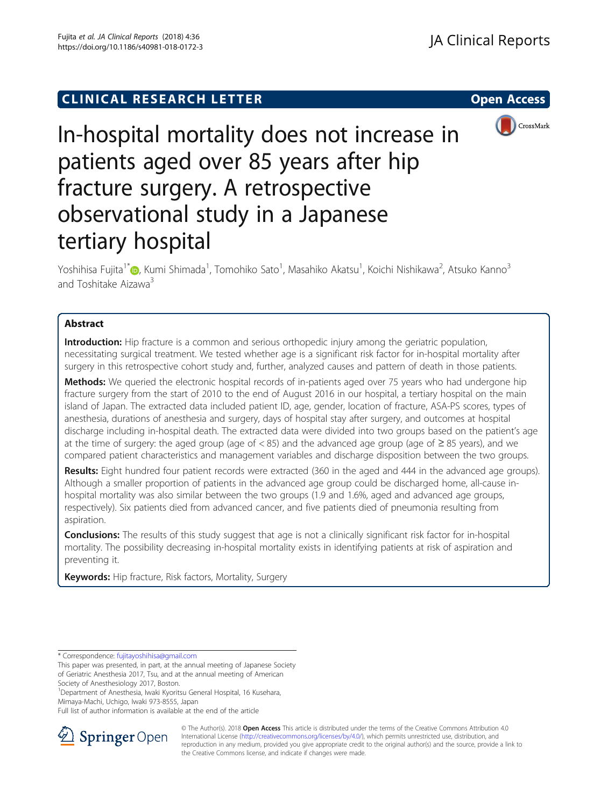**CLINICAL RESEARCH LETTER CLINICAL RESEARCH LETTER Open Access** 



# In-hospital mortality does not increase in patients aged over 85 years after hip fracture surgery. A retrospective observational study in a Japanese tertiary hospital

Yoshihisa Fujita<sup>1\*</sup>®, Kumi Shimada<sup>1</sup>, Tomohiko Sato<sup>1</sup>, Masahiko Akatsu<sup>1</sup>, Koichi Nishikawa<sup>2</sup>, Atsuko Kanno<sup>3</sup> and Toshitake Aizawa<sup>3</sup>

## Abstract

Introduction: Hip fracture is a common and serious orthopedic injury among the geriatric population, necessitating surgical treatment. We tested whether age is a significant risk factor for in-hospital mortality after surgery in this retrospective cohort study and, further, analyzed causes and pattern of death in those patients.

**Methods:** We queried the electronic hospital records of in-patients aged over 75 years who had undergone hip fracture surgery from the start of 2010 to the end of August 2016 in our hospital, a tertiary hospital on the main island of Japan. The extracted data included patient ID, age, gender, location of fracture, ASA-PS scores, types of anesthesia, durations of anesthesia and surgery, days of hospital stay after surgery, and outcomes at hospital discharge including in-hospital death. The extracted data were divided into two groups based on the patient's age at the time of surgery: the aged group (age of < 85) and the advanced age group (age of ≥ 85 years), and we compared patient characteristics and management variables and discharge disposition between the two groups.

Results: Eight hundred four patient records were extracted (360 in the aged and 444 in the advanced age groups). Although a smaller proportion of patients in the advanced age group could be discharged home, all-cause inhospital mortality was also similar between the two groups (1.9 and 1.6%, aged and advanced age groups, respectively). Six patients died from advanced cancer, and five patients died of pneumonia resulting from aspiration.

**Conclusions:** The results of this study suggest that age is not a clinically significant risk factor for in-hospital mortality. The possibility decreasing in-hospital mortality exists in identifying patients at risk of aspiration and preventing it.

Keywords: Hip fracture, Risk factors, Mortality, Surgery

\* Correspondence: [fujitayoshihisa@gmail.com](mailto:fujitayoshihisa@gmail.com)

Society of Anesthesiology 2017, Boston.

1 Department of Anesthesia, Iwaki Kyoritsu General Hospital, 16 Kusehara, Mimaya-Machi, Uchigo, Iwaki 973-8555, Japan

Full list of author information is available at the end of the article



© The Author(s). 2018 Open Access This article is distributed under the terms of the Creative Commons Attribution 4.0 International License ([http://creativecommons.org/licenses/by/4.0/\)](http://creativecommons.org/licenses/by/4.0/), which permits unrestricted use, distribution, and reproduction in any medium, provided you give appropriate credit to the original author(s) and the source, provide a link to the Creative Commons license, and indicate if changes were made.

This paper was presented, in part, at the annual meeting of Japanese Society of Geriatric Anesthesia 2017, Tsu, and at the annual meeting of American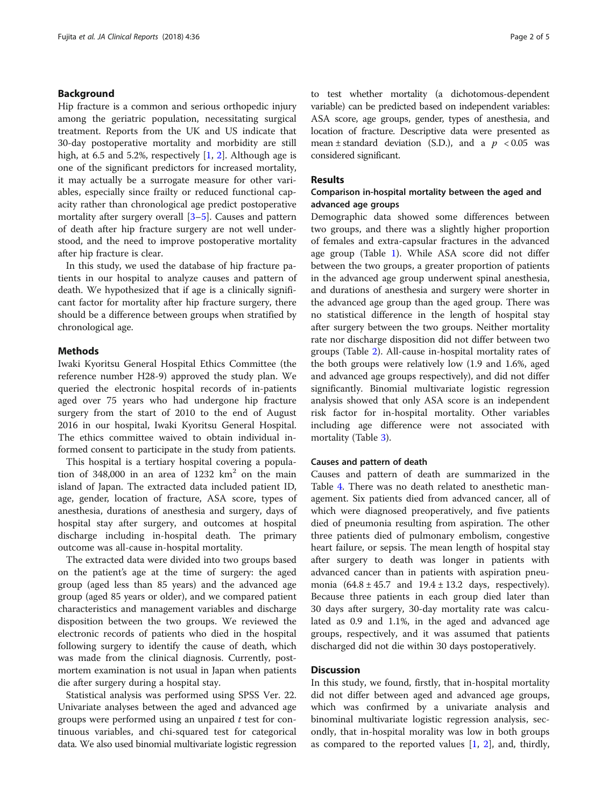## Background

Hip fracture is a common and serious orthopedic injury among the geriatric population, necessitating surgical treatment. Reports from the UK and US indicate that 30-day postoperative mortality and morbidity are still high, at 6.5 and 5.[2](#page-3-0)%, respectively  $[1, 2]$  $[1, 2]$ . Although age is one of the significant predictors for increased mortality, it may actually be a surrogate measure for other variables, especially since frailty or reduced functional capacity rather than chronological age predict postoperative mortality after surgery overall [\[3](#page-3-0)–[5](#page-3-0)]. Causes and pattern of death after hip fracture surgery are not well understood, and the need to improve postoperative mortality after hip fracture is clear.

In this study, we used the database of hip fracture patients in our hospital to analyze causes and pattern of death. We hypothesized that if age is a clinically significant factor for mortality after hip fracture surgery, there should be a difference between groups when stratified by chronological age.

## **Methods**

Iwaki Kyoritsu General Hospital Ethics Committee (the reference number H28-9) approved the study plan. We queried the electronic hospital records of in-patients aged over 75 years who had undergone hip fracture surgery from the start of 2010 to the end of August 2016 in our hospital, Iwaki Kyoritsu General Hospital. The ethics committee waived to obtain individual informed consent to participate in the study from patients.

This hospital is a tertiary hospital covering a population of 348,000 in an area of 1232  $\text{km}^2$  on the main island of Japan. The extracted data included patient ID, age, gender, location of fracture, ASA score, types of anesthesia, durations of anesthesia and surgery, days of hospital stay after surgery, and outcomes at hospital discharge including in-hospital death. The primary outcome was all-cause in-hospital mortality.

The extracted data were divided into two groups based on the patient's age at the time of surgery: the aged group (aged less than 85 years) and the advanced age group (aged 85 years or older), and we compared patient characteristics and management variables and discharge disposition between the two groups. We reviewed the electronic records of patients who died in the hospital following surgery to identify the cause of death, which was made from the clinical diagnosis. Currently, postmortem examination is not usual in Japan when patients die after surgery during a hospital stay.

Statistical analysis was performed using SPSS Ver. 22. Univariate analyses between the aged and advanced age groups were performed using an unpaired  $t$  test for continuous variables, and chi-squared test for categorical data. We also used binomial multivariate logistic regression to test whether mortality (a dichotomous-dependent variable) can be predicted based on independent variables: ASA score, age groups, gender, types of anesthesia, and location of fracture. Descriptive data were presented as mean  $\pm$  standard deviation (S.D.), and a  $p < 0.05$  was considered significant.

#### Results

## Comparison in-hospital mortality between the aged and advanced age groups

Demographic data showed some differences between two groups, and there was a slightly higher proportion of females and extra-capsular fractures in the advanced age group (Table [1](#page-2-0)). While ASA score did not differ between the two groups, a greater proportion of patients in the advanced age group underwent spinal anesthesia, and durations of anesthesia and surgery were shorter in the advanced age group than the aged group. There was no statistical difference in the length of hospital stay after surgery between the two groups. Neither mortality rate nor discharge disposition did not differ between two groups (Table [2\)](#page-2-0). All-cause in-hospital mortality rates of the both groups were relatively low (1.9 and 1.6%, aged and advanced age groups respectively), and did not differ significantly. Binomial multivariate logistic regression analysis showed that only ASA score is an independent risk factor for in-hospital mortality. Other variables including age difference were not associated with mortality (Table [3](#page-2-0)).

#### Causes and pattern of death

Causes and pattern of death are summarized in the Table [4](#page-2-0). There was no death related to anesthetic management. Six patients died from advanced cancer, all of which were diagnosed preoperatively, and five patients died of pneumonia resulting from aspiration. The other three patients died of pulmonary embolism, congestive heart failure, or sepsis. The mean length of hospital stay after surgery to death was longer in patients with advanced cancer than in patients with aspiration pneumonia  $(64.8 \pm 45.7 \text{ and } 19.4 \pm 13.2 \text{ days}, \text{ respectively}).$ Because three patients in each group died later than 30 days after surgery, 30-day mortality rate was calculated as 0.9 and 1.1%, in the aged and advanced age groups, respectively, and it was assumed that patients discharged did not die within 30 days postoperatively.

## **Discussion**

In this study, we found, firstly, that in-hospital mortality did not differ between aged and advanced age groups, which was confirmed by a univariate analysis and binominal multivariate logistic regression analysis, secondly, that in-hospital morality was low in both groups as compared to the reported values [[1,](#page-3-0) [2\]](#page-3-0), and, thirdly,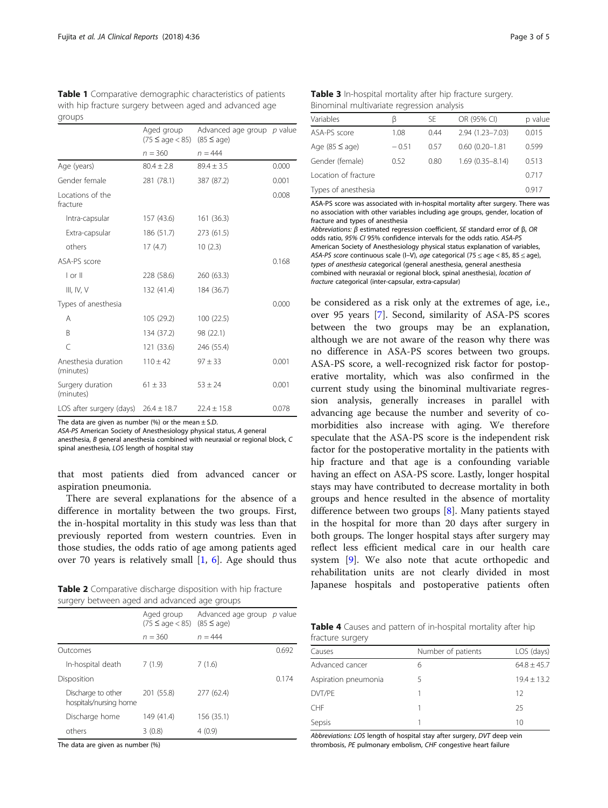| groups                                   |                                    |                                                 |       |  |
|------------------------------------------|------------------------------------|-------------------------------------------------|-------|--|
|                                          | Aged group<br>$(75 \leq aqe < 85)$ | Advanced age group $p$ value<br>$(85 \leq aqe)$ |       |  |
|                                          | $n = 360$                          | $n = 444$                                       |       |  |
| Age (years)                              | $80.4 \pm 2.8$                     | $89.4 \pm 3.5$                                  | 0.000 |  |
| Gender female                            | 281 (78.1)                         | 387 (87.2)                                      | 0.001 |  |
| Locations of the<br>fracture             |                                    |                                                 | 0.008 |  |
| Intra-capsular                           | 157 (43.6)                         | 161 (36.3)                                      |       |  |
| Extra-capsular                           | 186 (51.7)                         | 273 (61.5)                                      |       |  |
| others                                   | 17(4.7)                            | 10(2.3)                                         |       |  |
| ASA-PS score                             |                                    |                                                 | 0.168 |  |
| $ $ or $  $                              | 228 (58.6)                         | 260 (63.3)                                      |       |  |
| III, IV, V                               | 132 (41.4)                         | 184 (36.7)                                      |       |  |
| Types of anesthesia                      |                                    |                                                 | 0.000 |  |
| Α                                        | 105 (29.2)                         | 100 (22.5)                                      |       |  |
| B                                        | 134 (37.2)                         | 98 (22.1)                                       |       |  |
| $\subset$                                | 121 (33.6)                         | 246 (55.4)                                      |       |  |
| Anesthesia duration<br>(minutes)         | $110 \pm 42$                       | $97 + 33$                                       | 0.001 |  |
| Surgery duration<br>(minutes)            | $61 \pm 33$                        | $53 \pm 24$                                     | 0.001 |  |
| LOS after surgery (days) $26.4 \pm 18.7$ |                                    | $22.4 \pm 15.8$                                 | 0.078 |  |

<span id="page-2-0"></span>Table 1 Comparative demographic characteristics of patients with hip fracture surgery between aged and advanced age groups

The data are given as number (%) or the mean  $\pm$  S.D.

ASA-PS American Society of Anesthesiology physical status, A general

anesthesia, B general anesthesia combined with neuraxial or regional block, C spinal anesthesia, LOS length of hospital stay

that most patients died from advanced cancer or aspiration pneumonia.

There are several explanations for the absence of a difference in mortality between the two groups. First, the in-hospital mortality in this study was less than that previously reported from western countries. Even in those studies, the odds ratio of age among patients aged over 70 years is relatively small [\[1](#page-3-0), [6](#page-3-0)]. Age should thus

Table 2 Comparative discharge disposition with hip fracture surgery between aged and advanced age groups

|                                              | Aged group<br>$(75 \leq aqe < 85)$ $(85 \leq aqe)$ | Advanced age group $p$ value |       |  |
|----------------------------------------------|----------------------------------------------------|------------------------------|-------|--|
|                                              | $n = 360$                                          | $n = 444$                    |       |  |
| Outcomes                                     |                                                    |                              | 0.692 |  |
| In-hospital death                            | 7(1.9)                                             | 7(1.6)                       |       |  |
| Disposition                                  |                                                    |                              | 0.174 |  |
| Discharge to other<br>hospitals/nursing home | 201 (55.8)                                         | 277 (62.4)                   |       |  |
| Discharge home                               | 149 (41.4)                                         | 156 (35.1)                   |       |  |
| others                                       | 3(0.8)                                             | 4(0.9)                       |       |  |

The data are given as number (%)

| Table 3 In-hospital mortality after hip fracture surgery. |  |
|-----------------------------------------------------------|--|
| Binominal multivariate regression analysis                |  |

| Variables            | ß       | SE   | OR (95% CI)         | p value |
|----------------------|---------|------|---------------------|---------|
| ASA-PS score         | 1.08    | 0.44 | 2.94 (1.23-7.03)    | 0.015   |
| Age $(85 \leq age)$  | $-0.51$ | 0.57 | $0.60(0.20 - 1.81)$ | 0.599   |
| Gender (female)      | 0.52    | 0.80 | $1.69(0.35 - 8.14)$ | 0.513   |
| Location of fracture |         |      |                     | 0.717   |
| Types of anesthesia  |         |      |                     | 0.917   |

ASA-PS score was associated with in-hospital mortality after surgery. There was no association with other variables including age groups, gender, location of fracture and types of anesthesia

Abbreviations: <sup>β</sup> estimated regression coefficient, SE standard error of <sup>β</sup>, OR odds ratio, 95% CI 95% confidence intervals for the odds ratio. ASA-PS American Society of Anesthesiology physical status explanation of variables, ASA-PS score continuous scale (I–V), age categorical (75  $\leq$  age  $<$  85, 85  $\leq$  age), types of anesthesia categorical (general anesthesia, general anesthesia combined with neuraxial or regional block, spinal anesthesia), location of fracture categorical (inter-capsular, extra-capsular)

be considered as a risk only at the extremes of age, i.e., over 95 years [[7\]](#page-3-0). Second, similarity of ASA-PS scores between the two groups may be an explanation, although we are not aware of the reason why there was no difference in ASA-PS scores between two groups. ASA-PS score, a well-recognized risk factor for postoperative mortality, which was also confirmed in the current study using the binominal multivariate regression analysis, generally increases in parallel with advancing age because the number and severity of comorbidities also increase with aging. We therefore speculate that the ASA-PS score is the independent risk factor for the postoperative mortality in the patients with hip fracture and that age is a confounding variable having an effect on ASA-PS score. Lastly, longer hospital stays may have contributed to decrease mortality in both groups and hence resulted in the absence of mortality difference between two groups [[8\]](#page-3-0). Many patients stayed in the hospital for more than 20 days after surgery in both groups. The longer hospital stays after surgery may reflect less efficient medical care in our health care system [[9](#page-3-0)]. We also note that acute orthopedic and rehabilitation units are not clearly divided in most Japanese hospitals and postoperative patients often

| <b>Table 4</b> Causes and pattern of in-hospital mortality after hip |  |  |  |  |
|----------------------------------------------------------------------|--|--|--|--|
| fracture surgery                                                     |  |  |  |  |

| Number of patients | LOS (days)      |  |  |
|--------------------|-----------------|--|--|
| 6                  | $64.8 + 45.7$   |  |  |
| 5                  | $19.4 \pm 13.2$ |  |  |
|                    | 12              |  |  |
|                    | 25              |  |  |
|                    | 10              |  |  |
|                    |                 |  |  |

Abbreviations: LOS length of hospital stay after surgery, DVT deep vein thrombosis, PE pulmonary embolism, CHF congestive heart failure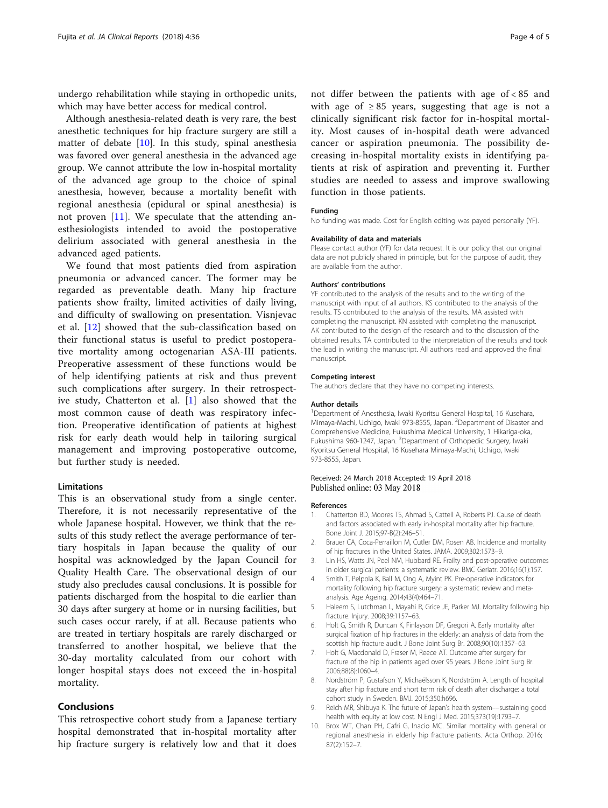<span id="page-3-0"></span>undergo rehabilitation while staying in orthopedic units, which may have better access for medical control.

Although anesthesia-related death is very rare, the best anesthetic techniques for hip fracture surgery are still a matter of debate [10]. In this study, spinal anesthesia was favored over general anesthesia in the advanced age group. We cannot attribute the low in-hospital mortality of the advanced age group to the choice of spinal anesthesia, however, because a mortality benefit with regional anesthesia (epidural or spinal anesthesia) is not proven  $[11]$  $[11]$  $[11]$ . We speculate that the attending anesthesiologists intended to avoid the postoperative delirium associated with general anesthesia in the advanced aged patients.

We found that most patients died from aspiration pneumonia or advanced cancer. The former may be regarded as preventable death. Many hip fracture patients show frailty, limited activities of daily living, and difficulty of swallowing on presentation. Visnjevac et al. [[12\]](#page-4-0) showed that the sub-classification based on their functional status is useful to predict postoperative mortality among octogenarian ASA-III patients. Preoperative assessment of these functions would be of help identifying patients at risk and thus prevent such complications after surgery. In their retrospective study, Chatterton et al. [1] also showed that the most common cause of death was respiratory infection. Preoperative identification of patients at highest risk for early death would help in tailoring surgical management and improving postoperative outcome, but further study is needed.

### Limitations

This is an observational study from a single center. Therefore, it is not necessarily representative of the whole Japanese hospital. However, we think that the results of this study reflect the average performance of tertiary hospitals in Japan because the quality of our hospital was acknowledged by the Japan Council for Quality Health Care. The observational design of our study also precludes causal conclusions. It is possible for patients discharged from the hospital to die earlier than 30 days after surgery at home or in nursing facilities, but such cases occur rarely, if at all. Because patients who are treated in tertiary hospitals are rarely discharged or transferred to another hospital, we believe that the 30-day mortality calculated from our cohort with longer hospital stays does not exceed the in-hospital mortality.

## Conclusions

This retrospective cohort study from a Japanese tertiary hospital demonstrated that in-hospital mortality after hip fracture surgery is relatively low and that it does

not differ between the patients with age of < 85 and with age of  $\geq 85$  years, suggesting that age is not a clinically significant risk factor for in-hospital mortality. Most causes of in-hospital death were advanced cancer or aspiration pneumonia. The possibility decreasing in-hospital mortality exists in identifying patients at risk of aspiration and preventing it. Further studies are needed to assess and improve swallowing function in those patients.

#### Funding

No funding was made. Cost for English editing was payed personally (YF).

#### Availability of data and materials

Please contact author (YF) for data request. It is our policy that our original data are not publicly shared in principle, but for the purpose of audit, they are available from the author.

#### Authors' contributions

YF contributed to the analysis of the results and to the writing of the manuscript with input of all authors. KS contributed to the analysis of the results. TS contributed to the analysis of the results. MA assisted with completing the manuscript. KN assisted with completing the manuscript. AK contributed to the design of the research and to the discussion of the obtained results. TA contributed to the interpretation of the results and took the lead in writing the manuscript. All authors read and approved the final manuscript.

#### Competing interest

The authors declare that they have no competing interests.

#### Author details

<sup>1</sup>Department of Anesthesia, Iwaki Kyoritsu General Hospital, 16 Kusehara, Mimaya-Machi, Uchigo, Iwaki 973-8555, Japan. <sup>2</sup>Department of Disaster and Comprehensive Medicine, Fukushima Medical University, 1 Hikariga-oka, Fukushima 960-1247, Japan. <sup>3</sup>Department of Orthopedic Surgery, Iwaki Kyoritsu General Hospital, 16 Kusehara Mimaya-Machi, Uchigo, Iwaki 973-8555, Japan.

#### Received: 24 March 2018 Accepted: 19 April 2018 Published online: 03 May 2018

#### References

- 1. Chatterton BD, Moores TS, Ahmad S, Cattell A, Roberts PJ. Cause of death and factors associated with early in-hospital mortality after hip fracture. Bone Joint J. 2015;97-B(2):246–51.
- 2. Brauer CA, Coca-Perraillon M, Cutler DM, Rosen AB. Incidence and mortality of hip fractures in the United States. JAMA. 2009;302:1573–9.
- 3. Lin HS, Watts JN, Peel NM, Hubbard RE. Frailty and post-operative outcomes in older surgical patients: a systematic review. BMC Geriatr. 2016;16(1):157.
- Smith T, Pelpola K, Ball M, Ong A, Myint PK. Pre-operative indicators for mortality following hip fracture surgery: a systematic review and metaanalysis. Age Ageing. 2014;43(4):464–71.
- Haleem S, Lutchman L, Mayahi R, Grice JE, Parker MJ. Mortality following hip fracture. Injury. 2008;39:1157–63.
- 6. Holt G, Smith R, Duncan K, Finlayson DF, Gregori A. Early mortality after surgical fixation of hip fractures in the elderly: an analysis of data from the scottish hip fracture audit. J Bone Joint Surg Br. 2008;90(10):1357–63.
- 7. Holt G, Macdonald D, Fraser M, Reece AT. Outcome after surgery for fracture of the hip in patients aged over 95 years. J Bone Joint Surg Br. 2006;88(8):1060–4.
- 8. Nordström P, Gustafson Y, Michaëlsson K, Nordström A. Length of hospital stay after hip fracture and short term risk of death after discharge: a total cohort study in Sweden. BMJ. 2015;350:h696.
- 9. Reich MR, Shibuya K. The future of Japan's health system––sustaining good health with equity at low cost. N Engl J Med. 2015;373(19):1793–7.
- 10. Brox WT, Chan PH, Cafri G, Inacio MC. Similar mortality with general or regional anesthesia in elderly hip fracture patients. Acta Orthop. 2016; 87(2):152–7.